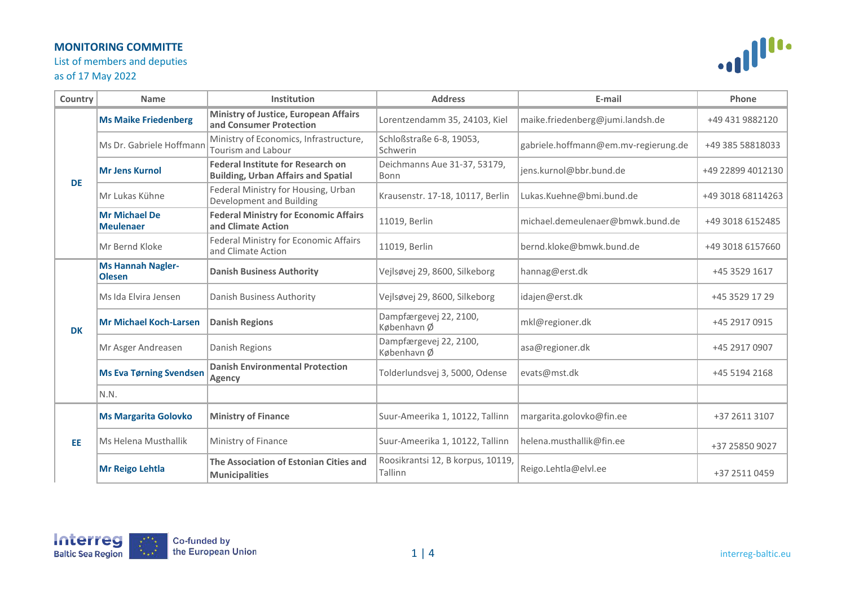List of members and deputies

### as of 17 May 2022



| Country   | <b>Name</b>                               | Institution                                                                            | <b>Address</b>                               | E-mail                               | Phone             |
|-----------|-------------------------------------------|----------------------------------------------------------------------------------------|----------------------------------------------|--------------------------------------|-------------------|
| <b>DE</b> | <b>Ms Maike Friedenberg</b>               | <b>Ministry of Justice, European Affairs</b><br>and Consumer Protection                | Lorentzendamm 35, 24103, Kiel                | maike.friedenberg@jumi.landsh.de     | +49 431 9882120   |
|           | Ms Dr. Gabriele Hoffmann                  | Ministry of Economics, Infrastructure,<br>Tourism and Labour                           | Schloßstraße 6-8, 19053,<br>Schwerin         | gabriele.hoffmann@em.mv-regierung.de | +49 385 58818033  |
|           | <b>Mr Jens Kurnol</b>                     | <b>Federal Institute for Research on</b><br><b>Building, Urban Affairs and Spatial</b> | Deichmanns Aue 31-37, 53179,<br>Bonn         | jens.kurnol@bbr.bund.de              | +49 22899 4012130 |
|           | Mr Lukas Kühne                            | Federal Ministry for Housing, Urban<br>Development and Building                        | Krausenstr. 17-18, 10117, Berlin             | Lukas.Kuehne@bmi.bund.de             | +49 3018 68114263 |
|           | <b>Mr Michael De</b><br><b>Meulenaer</b>  | <b>Federal Ministry for Economic Affairs</b><br>and Climate Action                     | 11019, Berlin                                | michael.demeulenaer@bmwk.bund.de     | +49 3018 6152485  |
|           | Mr Bernd Kloke                            | Federal Ministry for Economic Affairs<br>and Climate Action                            | 11019, Berlin                                | bernd.kloke@bmwk.bund.de             | +49 3018 6157660  |
| <b>DK</b> | <b>Ms Hannah Nagler-</b><br><b>Olesen</b> | <b>Danish Business Authority</b>                                                       | Vejlsøvej 29, 8600, Silkeborg                | hannag@erst.dk                       | +45 3529 1617     |
|           | Ms Ida Elvira Jensen                      | Danish Business Authority                                                              | Vejlsøvej 29, 8600, Silkeborg                | idajen@erst.dk                       | +45 3529 17 29    |
|           | <b>Mr Michael Koch-Larsen</b>             | <b>Danish Regions</b>                                                                  | Dampfærgevej 22, 2100,<br>København Ø        | mkl@regioner.dk                      | +45 2917 0915     |
|           | Mr Asger Andreasen                        | Danish Regions                                                                         | Dampfærgevej 22, 2100,<br>København Ø        | asa@regioner.dk                      | +45 2917 0907     |
|           | <b>Ms Eva Tørning Svendsen</b>            | <b>Danish Environmental Protection</b><br><b>Agency</b>                                | Tolderlundsvej 3, 5000, Odense               | evats@mst.dk                         | +45 5194 2168     |
|           | N.N.                                      |                                                                                        |                                              |                                      |                   |
| <b>EE</b> | <b>Ms Margarita Golovko</b>               | <b>Ministry of Finance</b>                                                             | Suur-Ameerika 1, 10122, Tallinn              | margarita.golovko@fin.ee             | +37 2611 3107     |
|           | Ms Helena Musthallik                      | Ministry of Finance                                                                    | Suur-Ameerika 1, 10122, Tallinn              | helena.musthallik@fin.ee             | +37 25850 9027    |
|           | <b>Mr Reigo Lehtla</b>                    | The Association of Estonian Cities and<br><b>Municipalities</b>                        | Roosikrantsi 12, B korpus, 10119,<br>Tallinn | Reigo.Lehtla@elvl.ee                 | +37 2511 0459     |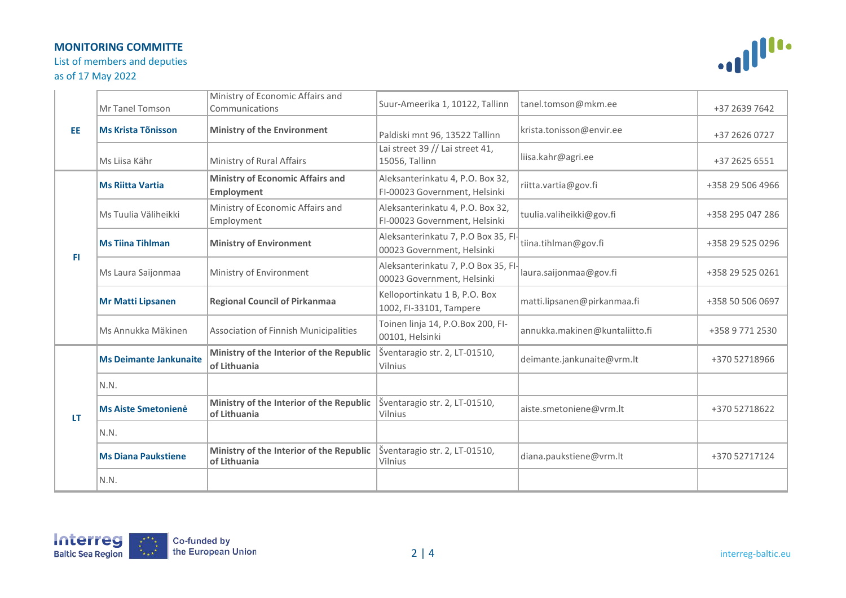List of members and deputies

# as of 17 May 2022



| <b>EE</b> | Mr Tanel Tomson               | Ministry of Economic Affairs and<br>Communications           | Suur-Ameerika 1, 10122, Tallinn                                   | tanel.tomson@mkm.ee            | +37 2639 7642    |
|-----------|-------------------------------|--------------------------------------------------------------|-------------------------------------------------------------------|--------------------------------|------------------|
|           | <b>Ms Krista Tõnisson</b>     | <b>Ministry of the Environment</b>                           | Paldiski mnt 96, 13522 Tallinn                                    | krista.tonisson@envir.ee       | +37 2626 0727    |
|           | Ms Liisa Kähr                 | Ministry of Rural Affairs                                    | Lai street 39 // Lai street 41,<br>15056, Tallinn                 | liisa.kahr@agri.ee             | +37 2625 6551    |
| FI.       | <b>Ms Riitta Vartia</b>       | <b>Ministry of Economic Affairs and</b><br><b>Employment</b> | Aleksanterinkatu 4, P.O. Box 32,<br>FI-00023 Government, Helsinki | riitta.vartia@gov.fi           | +358 29 506 4966 |
|           | Ms Tuulia Väliheikki          | Ministry of Economic Affairs and<br>Employment               | Aleksanterinkatu 4, P.O. Box 32,<br>FI-00023 Government, Helsinki | tuulia.valiheikki@gov.fi       | +358 295 047 286 |
|           | <b>Ms Tiina Tihlman</b>       | <b>Ministry of Environment</b>                               | Aleksanterinkatu 7, P.O Box 35, Fl-<br>00023 Government, Helsinki | tiina.tihlman@gov.fi           | +358 29 525 0296 |
|           | Ms Laura Saijonmaa            | Ministry of Environment                                      | Aleksanterinkatu 7, P.O Box 35, FI-<br>00023 Government, Helsinki | laura.saijonmaa@gov.fi         | +358 29 525 0261 |
|           | <b>Mr Matti Lipsanen</b>      | <b>Regional Council of Pirkanmaa</b>                         | Kelloportinkatu 1 B, P.O. Box<br>1002, FI-33101, Tampere          | matti.lipsanen@pirkanmaa.fi    | +358 50 506 0697 |
|           | Ms Annukka Mäkinen            | Association of Finnish Municipalities                        | Toinen linja 14, P.O.Box 200, FI-<br>00101, Helsinki              | annukka.makinen@kuntaliitto.fi | +358 9 771 2530  |
| LT        | <b>Ms Deimante Jankunaite</b> | Ministry of the Interior of the Republic<br>of Lithuania     | Šventaragio str. 2, LT-01510,<br>Vilnius                          | deimante.jankunaite@vrm.lt     | +370 52718966    |
|           | N.N.                          |                                                              |                                                                   |                                |                  |
|           | <b>Ms Aiste Smetonienė</b>    | Ministry of the Interior of the Republic<br>of Lithuania     | Šventaragio str. 2, LT-01510,<br>Vilnius                          | aiste.smetoniene@vrm.lt        | +370 52718622    |
|           | N.N.                          |                                                              |                                                                   |                                |                  |
|           | <b>Ms Diana Paukstiene</b>    | Ministry of the Interior of the Republic<br>of Lithuania     | Šventaragio str. 2, LT-01510,<br>Vilnius                          | diana.paukstiene@vrm.lt        | +370 52717124    |
|           | N.N.                          |                                                              |                                                                   |                                |                  |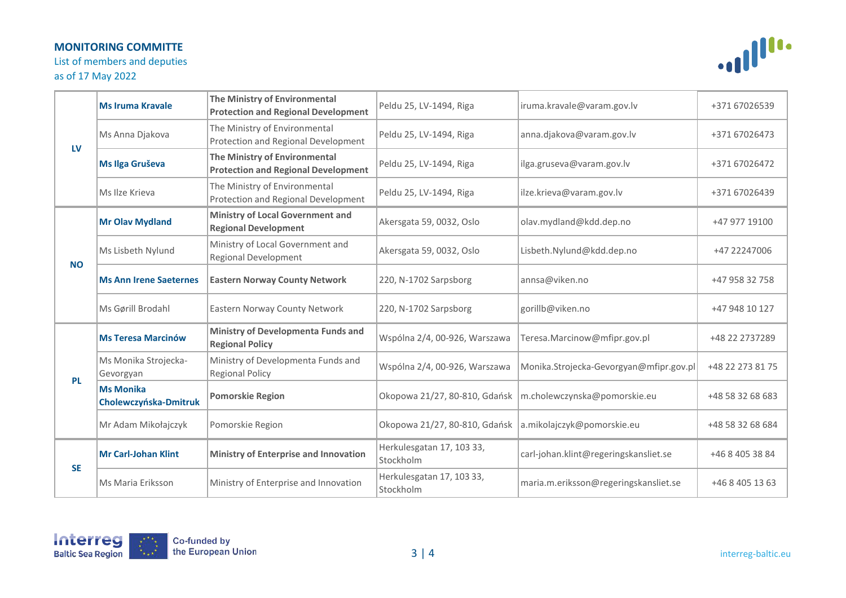List of members and deputies

# as of 17 May 2022



| LV        | <b>Ms Iruma Kravale</b>                   | The Ministry of Environmental<br><b>Protection and Regional Development</b> | Peldu 25, LV-1494, Riga                | iruma.kravale@varam.gov.lv              | +371 67026539    |
|-----------|-------------------------------------------|-----------------------------------------------------------------------------|----------------------------------------|-----------------------------------------|------------------|
|           | Ms Anna Djakova                           | The Ministry of Environmental<br>Protection and Regional Development        | Peldu 25, LV-1494, Riga                | anna.djakova@varam.gov.lv               | +371 67026473    |
|           | Ms Ilga Gruševa                           | The Ministry of Environmental<br><b>Protection and Regional Development</b> | Peldu 25, LV-1494, Riga                | ilga.gruseva@varam.gov.lv               | +371 67026472    |
|           | Ms Ilze Krieva                            | The Ministry of Environmental<br>Protection and Regional Development        | Peldu 25, LV-1494, Riga                | ilze.krieva@varam.gov.lv                | +371 67026439    |
| <b>NO</b> | <b>Mr Olav Mydland</b>                    | <b>Ministry of Local Government and</b><br><b>Regional Development</b>      | Akersgata 59, 0032, Oslo               | olav.mydland@kdd.dep.no                 | +47 977 19100    |
|           | Ms Lisbeth Nylund                         | Ministry of Local Government and<br><b>Regional Development</b>             | Akersgata 59, 0032, Oslo               | Lisbeth.Nylund@kdd.dep.no               | +47 22247006     |
|           | <b>Ms Ann Irene Saeternes</b>             | <b>Eastern Norway County Network</b>                                        | 220, N-1702 Sarpsborg                  | annsa@viken.no                          | +47 958 32 758   |
|           | Ms Gørill Brodahl                         | Eastern Norway County Network                                               | 220, N-1702 Sarpsborg                  | gorillb@viken.no                        | +47 948 10 127   |
| <b>PL</b> | <b>Ms Teresa Marcinów</b>                 | <b>Ministry of Developmenta Funds and</b><br><b>Regional Policy</b>         | Wspólna 2/4, 00-926, Warszawa          | Teresa.Marcinow@mfipr.gov.pl            | +48 22 2737289   |
|           | Ms Monika Strojecka-<br>Gevorgyan         | Ministry of Developmenta Funds and<br><b>Regional Policy</b>                | Wspólna 2/4, 00-926, Warszawa          | Monika.Strojecka-Gevorgyan@mfipr.gov.pl | +48 22 273 81 75 |
|           | <b>Ms Monika</b><br>Cholewczyńska-Dmitruk | <b>Pomorskie Region</b>                                                     | Okopowa 21/27, 80-810, Gdańsk          | m.cholewczynska@pomorskie.eu            | +48 58 32 68 683 |
|           | Mr Adam Mikołajczyk                       | Pomorskie Region                                                            | Okopowa 21/27, 80-810, Gdańsk          | a.mikolajczyk@pomorskie.eu              | +48 58 32 68 684 |
| <b>SE</b> | <b>Mr Carl-Johan Klint</b>                | <b>Ministry of Enterprise and Innovation</b>                                | Herkulesgatan 17, 103 33,<br>Stockholm | carl-johan.klint@regeringskansliet.se   | +46 8 405 38 84  |
|           | Ms Maria Eriksson                         | Ministry of Enterprise and Innovation                                       | Herkulesgatan 17, 103 33,<br>Stockholm | maria.m.eriksson@regeringskansliet.se   | +46 8 405 13 63  |